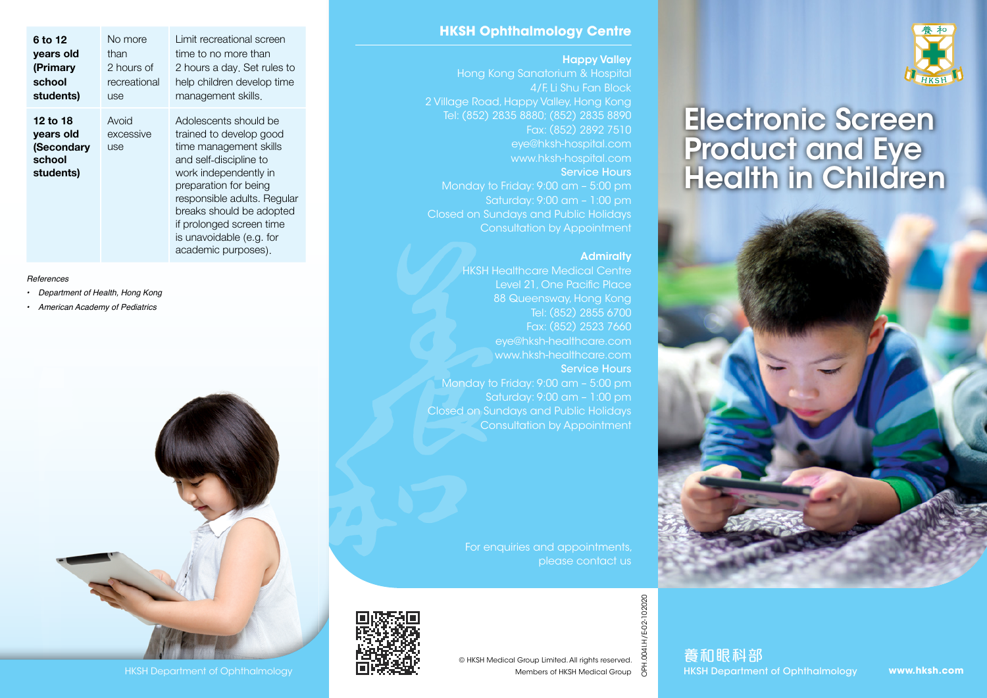

# Electronic Screen Product and Eye Health in Children



## **HKSH Ophthalmology Centre**

## Happy Valley

Hong Kong Sanatorium & Hospital 4/F, Li Shu Fan Block 2 Village Road, Happy Valley, Hong Kong Tel: (852) 2835 8880; (852) 2835 8890 Fax: (852) 2892 7510 eye@hksh-hospital.com www.hksh-hospital.com Service Hours Monday to Friday: 9:00 am – 5:00 pm Saturday: 9:00 am – 1:00 pm Closed on Sundays and Public Holidays Consultation by Appointment

### **Admiralty**

**HKSH Healthcare Medical Centre** Level 21, One Pacific Place 88 Queensway, Hong Kong Tel: (852) 2855 6700 Fax: (852) 2523 7660 eye@hksh-healthcare.com www.hksh-healthcare.com Service Hours Monday to Friday: 9:00 am – 5:00 pm Saturday: 9:00 am – 1:00 pm Closed on Sundays and Public Holidays Consultation by Appointment

> For enquiries and appointments, please contact us



OPH.004I.H/E-02-102020

養和眼科部

**www.hksh.com**

| 6 to 12<br>years old<br>(Primary<br>school<br>students)    | No more<br>than<br>2 hours of<br>recreational<br>use | Limit recreational screen<br>time to no more than<br>2 hours a day. Set rules to<br>help children develop time<br>management skills.                                                                                                                                                             |
|------------------------------------------------------------|------------------------------------------------------|--------------------------------------------------------------------------------------------------------------------------------------------------------------------------------------------------------------------------------------------------------------------------------------------------|
| 12 to 18<br>years old<br>(Secondary<br>school<br>students) | Avoid<br>excessive<br>use                            | Adolescents should be<br>trained to develop good<br>time management skills<br>and self-discipline to<br>work independently in<br>preparation for being<br>responsible adults. Regular<br>breaks should be adopted<br>if prolonged screen time<br>is unavoidable (e.g. for<br>academic purposes). |

#### *References*

- *• Department of Health, Hong Kong*
- *• American Academy of Pediatrics*